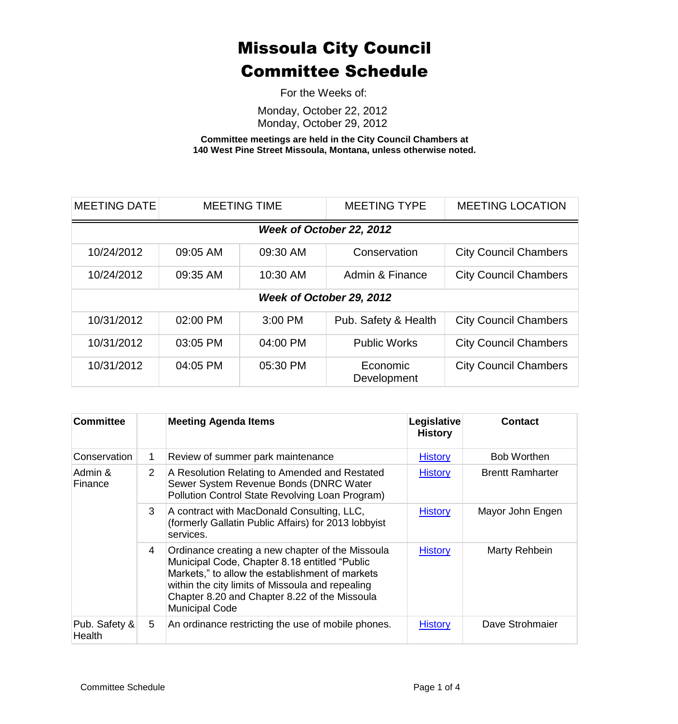For the Weeks of:

Monday, October 22, 2012 Monday, October 29, 2012

**Committee meetings are held in the City Council Chambers at 140 West Pine Street Missoula, Montana, unless otherwise noted.**

| <b>MEETING DATE</b>      | <b>MEETING TIME</b> |          | <b>MEETING TYPE</b>     | <b>MEETING LOCATION</b>      |  |
|--------------------------|---------------------|----------|-------------------------|------------------------------|--|
| Week of October 22, 2012 |                     |          |                         |                              |  |
| 10/24/2012               | 09:05 AM            | 09:30 AM | Conservation            | <b>City Council Chambers</b> |  |
| 10/24/2012               | 09:35 AM            | 10:30 AM | Admin & Finance         | <b>City Council Chambers</b> |  |
| Week of October 29, 2012 |                     |          |                         |                              |  |
| 10/31/2012               | 02:00 PM            | 3:00 PM  | Pub. Safety & Health    | <b>City Council Chambers</b> |  |
| 10/31/2012               | 03:05 PM            | 04:00 PM | <b>Public Works</b>     | <b>City Council Chambers</b> |  |
| 10/31/2012               | 04:05 PM            | 05:30 PM | Economic<br>Development | <b>City Council Chambers</b> |  |

| <b>Committee</b>        |                | <b>Meeting Agenda Items</b>                                                                                                                                                                                                                                                        | Legislative<br><b>History</b> | <b>Contact</b>          |
|-------------------------|----------------|------------------------------------------------------------------------------------------------------------------------------------------------------------------------------------------------------------------------------------------------------------------------------------|-------------------------------|-------------------------|
| Conservation            | 1              | Review of summer park maintenance                                                                                                                                                                                                                                                  | <b>History</b>                | <b>Bob Worthen</b>      |
| Admin &<br>Finance      | $\overline{2}$ | A Resolution Relating to Amended and Restated<br>Sewer System Revenue Bonds (DNRC Water<br>Pollution Control State Revolving Loan Program)                                                                                                                                         | <b>History</b>                | <b>Brentt Ramharter</b> |
|                         | 3              | A contract with MacDonald Consulting, LLC,<br>(formerly Gallatin Public Affairs) for 2013 lobbyist<br>services.                                                                                                                                                                    | <b>History</b>                | Mayor John Engen        |
|                         | 4              | Ordinance creating a new chapter of the Missoula<br>Municipal Code, Chapter 8.18 entitled "Public<br>Markets," to allow the establishment of markets<br>within the city limits of Missoula and repealing<br>Chapter 8.20 and Chapter 8.22 of the Missoula<br><b>Municipal Code</b> | <b>History</b>                | Marty Rehbein           |
| Pub. Safety &<br>Health | 5              | An ordinance restricting the use of mobile phones.                                                                                                                                                                                                                                 | <b>History</b>                | Dave Strohmajer         |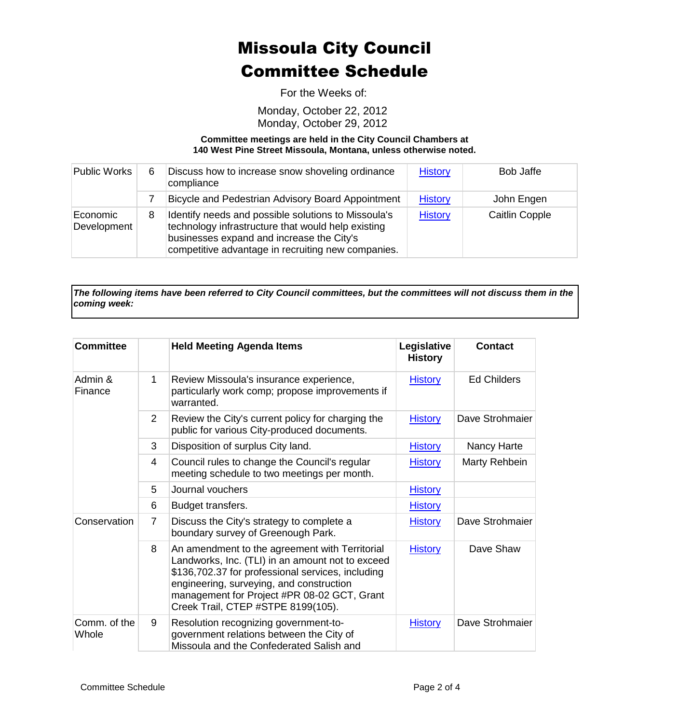For the Weeks of:

Monday, October 22, 2012 Monday, October 29, 2012

**Committee meetings are held in the City Council Chambers at 140 West Pine Street Missoula, Montana, unless otherwise noted.**

| Public Works            | 6 | Discuss how to increase snow shoveling ordinance<br>compliance                                                                                                                                               | <b>History</b> | Bob Jaffe             |
|-------------------------|---|--------------------------------------------------------------------------------------------------------------------------------------------------------------------------------------------------------------|----------------|-----------------------|
|                         |   | Bicycle and Pedestrian Advisory Board Appointment                                                                                                                                                            | <b>History</b> | John Engen            |
| Economic<br>Development | 8 | Identify needs and possible solutions to Missoula's<br>technology infrastructure that would help existing<br>businesses expand and increase the City's<br>competitive advantage in recruiting new companies. | <b>History</b> | <b>Caitlin Copple</b> |

*The following items have been referred to City Council committees, but the committees will not discuss them in the coming week:*

| <b>Committee</b>      |                | <b>Held Meeting Agenda Items</b>                                                                                                                                                                                                                                                         | Legislative<br><b>History</b> | <b>Contact</b>     |
|-----------------------|----------------|------------------------------------------------------------------------------------------------------------------------------------------------------------------------------------------------------------------------------------------------------------------------------------------|-------------------------------|--------------------|
| Admin &<br>Finance    | 1              | Review Missoula's insurance experience,<br>particularly work comp; propose improvements if<br>warranted.                                                                                                                                                                                 | <b>History</b>                | <b>Ed Childers</b> |
|                       | $\overline{2}$ | Review the City's current policy for charging the<br>public for various City-produced documents.                                                                                                                                                                                         | <b>History</b>                | Dave Strohmaier    |
|                       | 3              | Disposition of surplus City land.                                                                                                                                                                                                                                                        | <b>History</b>                | Nancy Harte        |
|                       | 4              | Council rules to change the Council's regular<br>meeting schedule to two meetings per month.                                                                                                                                                                                             | <b>History</b>                | Marty Rehbein      |
|                       | 5              | Journal vouchers                                                                                                                                                                                                                                                                         | <b>History</b>                |                    |
|                       | 6              | Budget transfers.                                                                                                                                                                                                                                                                        | <b>History</b>                |                    |
| Conservation          | 7              | Discuss the City's strategy to complete a<br>boundary survey of Greenough Park.                                                                                                                                                                                                          | <b>History</b>                | Dave Strohmaier    |
|                       | 8              | An amendment to the agreement with Territorial<br>Landworks, Inc. (TLI) in an amount not to exceed<br>\$136,702.37 for professional services, including<br>engineering, surveying, and construction<br>management for Project #PR 08-02 GCT, Grant<br>Creek Trail, CTEP #STPE 8199(105). | <b>History</b>                | Dave Shaw          |
| Comm. of the<br>Whole | 9              | Resolution recognizing government-to-<br>government relations between the City of<br>Missoula and the Confederated Salish and                                                                                                                                                            | <b>History</b>                | Dave Strohmaier    |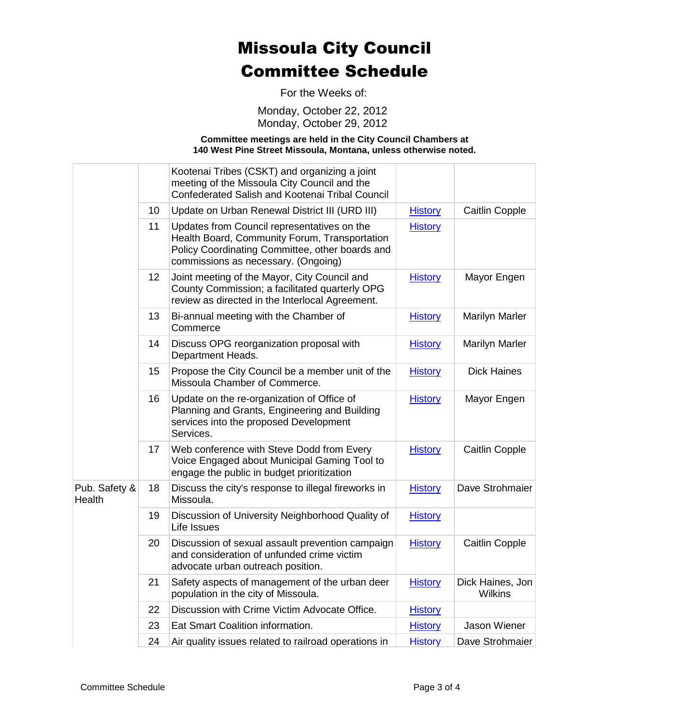For the Weeks of:

Monday, October 22, 2012 Monday, October 29, 2012

**Committee meetings are held in the City Council Chambers at 140 West Pine Street Missoula, Montana, unless otherwise noted.**

|                         |                 | Kootenai Tribes (CSKT) and organizing a joint<br>meeting of the Missoula City Council and the<br><b>Confederated Salish and Kootenai Tribal Council</b>                                |                |                             |
|-------------------------|-----------------|----------------------------------------------------------------------------------------------------------------------------------------------------------------------------------------|----------------|-----------------------------|
|                         | 10 <sup>°</sup> | Update on Urban Renewal District III (URD III)                                                                                                                                         | <b>History</b> | Caitlin Copple              |
|                         | 11              | Updates from Council representatives on the<br>Health Board, Community Forum, Transportation<br>Policy Coordinating Committee, other boards and<br>commissions as necessary. (Ongoing) | <b>History</b> |                             |
|                         | 12 <sup>2</sup> | Joint meeting of the Mayor, City Council and<br>County Commission; a facilitated quarterly OPG<br>review as directed in the Interlocal Agreement.                                      | <b>History</b> | Mayor Engen                 |
|                         | 13              | Bi-annual meeting with the Chamber of<br>Commerce                                                                                                                                      | <b>History</b> | <b>Marilyn Marler</b>       |
|                         | 14              | Discuss OPG reorganization proposal with<br>Department Heads.                                                                                                                          | <b>History</b> | <b>Marilyn Marler</b>       |
|                         | 15              | Propose the City Council be a member unit of the<br>Missoula Chamber of Commerce.                                                                                                      | <b>History</b> | <b>Dick Haines</b>          |
|                         | 16              | Update on the re-organization of Office of<br>Planning and Grants, Engineering and Building<br>services into the proposed Development<br>Services.                                     | <b>History</b> | Mayor Engen                 |
|                         | 17              | Web conference with Steve Dodd from Every<br>Voice Engaged about Municipal Gaming Tool to<br>engage the public in budget prioritization                                                | <b>History</b> | Caitlin Copple              |
| Pub. Safety &<br>Health | 18              | Discuss the city's response to illegal fireworks in<br>Missoula.                                                                                                                       | <b>History</b> | Dave Strohmaier             |
|                         | 19              | Discussion of University Neighborhood Quality of<br>Life Issues                                                                                                                        | <b>History</b> |                             |
|                         | 20              | Discussion of sexual assault prevention campaign<br>and consideration of unfunded crime victim<br>advocate urban outreach position.                                                    | <b>History</b> | Caitlin Copple              |
|                         | 21              | Safety aspects of management of the urban deer<br>population in the city of Missoula.                                                                                                  | <b>History</b> | Dick Haines, Jon<br>Wilkins |
|                         | 22              | Discussion with Crime Victim Advocate Office.                                                                                                                                          | <b>History</b> |                             |
|                         | 23              | Eat Smart Coalition information.                                                                                                                                                       | <b>History</b> | Jason Wiener                |
|                         | 24              | Air quality issues related to railroad operations in                                                                                                                                   | <b>History</b> | Dave Strohmaier             |